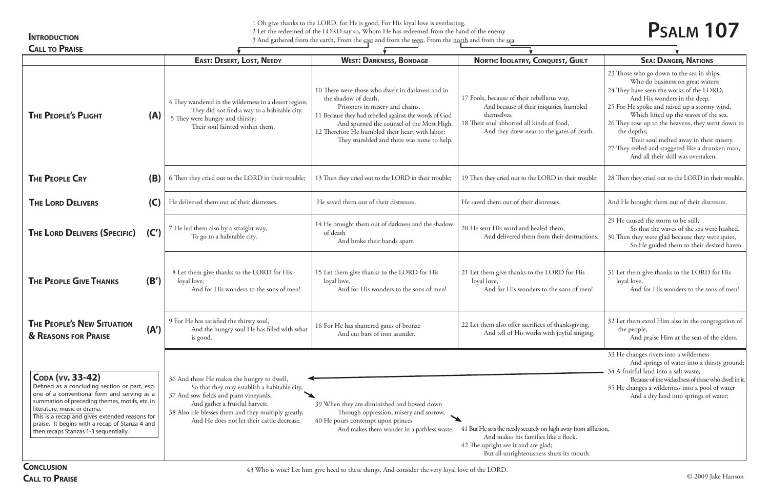1 Oh give thanks to the LORD, for He is good, For His loyal love is everlasting.

2 Let the redeemed of the LORD say so, Whom He has redeemed from the hand of the enemy 3 And gathered from the earth, From the east and from the west, From the north and from the sea.

## **INTRODUCTION**

|                                                                                                                                                                                                                                                                                                                                                |      | <b>EAST: DESERT, LOST, NEEDY</b>                                                                                                                                                                                                                                           | <b>WEST: DARKNESS, BONDAGE</b>                                                                                                                                                                                                                                                                                    | <b>NORTH: IDOLATRY, CONQUEST, GUILT</b>                                                                                                                                                         | <b>SEA: DANGER, NATIONS</b>                                                                                                                                                                                                                                                                                                                                                                                                                  |
|------------------------------------------------------------------------------------------------------------------------------------------------------------------------------------------------------------------------------------------------------------------------------------------------------------------------------------------------|------|----------------------------------------------------------------------------------------------------------------------------------------------------------------------------------------------------------------------------------------------------------------------------|-------------------------------------------------------------------------------------------------------------------------------------------------------------------------------------------------------------------------------------------------------------------------------------------------------------------|-------------------------------------------------------------------------------------------------------------------------------------------------------------------------------------------------|----------------------------------------------------------------------------------------------------------------------------------------------------------------------------------------------------------------------------------------------------------------------------------------------------------------------------------------------------------------------------------------------------------------------------------------------|
| <b>THE PEOPLE'S PLIGHT</b>                                                                                                                                                                                                                                                                                                                     | (A)  | 4 They wandered in the wilderness in a desert region;<br>They did not find a way to a habitable city.<br>5 They were hungry and thirsty;<br>Their soul fainted within them.                                                                                                | 10 There were those who dwelt in darkness and in<br>the shadow of death,<br>Prisoners in misery and chains,<br>11 Because they had rebelled against the words of God<br>And spurned the counsel of the Most High.<br>12 Therefore He humbled their heart with labor;<br>They stumbled and there was none to help. | 17 Fools, because of their rebellious way,<br>And because of their iniquities, humbled<br>themselves.<br>18 Their soul abhorred all kinds of food,<br>And they drew near to the gates of death. | 23 Those who go down to the sea in ships,<br>Who do business on great waters;<br>24 They have seen the works of the LORD,<br>And His wonders in the deep.<br>25 For He spoke and raised up a stormy wind<br>Which lifted up the waves of the sea<br>26 They rose up to the heavens, they went do<br>the depths;<br>Their soul melted away in their mise<br>27 They reeled and staggered like a drunken<br>And all their skill was overtaken. |
| <b>THE PEOPLE CRY</b>                                                                                                                                                                                                                                                                                                                          | (B)  | 6 Then they cried out to the LORD in their trouble;                                                                                                                                                                                                                        | 13 Then they cried out to the LORD in their trouble;                                                                                                                                                                                                                                                              | 19 Then they cried out to the LORD in their trouble;                                                                                                                                            | 28 Then they cried out to the LORD in their to                                                                                                                                                                                                                                                                                                                                                                                               |
| <b>THE LORD DELIVERS</b>                                                                                                                                                                                                                                                                                                                       | (C)  | He delivered them out of their distresses.                                                                                                                                                                                                                                 | He saved them out of their distresses.                                                                                                                                                                                                                                                                            | He saved them out of their distresses.                                                                                                                                                          | And He brought them out of their distresses.                                                                                                                                                                                                                                                                                                                                                                                                 |
| <b>THE LORD DELIVERS (SPECIFIC)</b>                                                                                                                                                                                                                                                                                                            | (C') | 7 He led them also by a straight way,<br>To go to a habitable city.                                                                                                                                                                                                        | 14 He brought them out of darkness and the shadow<br>of death<br>And broke their bands apart.                                                                                                                                                                                                                     | 20 He sent His word and healed them,<br>And delivered them from their destructions.                                                                                                             | 29 He caused the storm to be still,<br>So that the waves of the sea were hus<br>30 Then they were glad because they were qu<br>So He guided them to their desired I                                                                                                                                                                                                                                                                          |
| <b>THE PEOPLE GIVE THANKS</b>                                                                                                                                                                                                                                                                                                                  | (B') | 8 Let them give thanks to the LORD for His<br>loyal love,<br>And for His wonders to the sons of men!                                                                                                                                                                       | 15 Let them give thanks to the LORD for His<br>loyal love,<br>And for His wonders to the sons of men!                                                                                                                                                                                                             | 21 Let them give thanks to the LORD for His<br>loyal love,<br>And for His wonders to the sons of men!                                                                                           | 31 Let them give thanks to the LORD for H<br>loyal love,<br>And for His wonders to the sons of 1                                                                                                                                                                                                                                                                                                                                             |
| <b>THE PEOPLE'S NEW SITUATION</b><br><b>&amp; REASONS FOR PRAISE</b>                                                                                                                                                                                                                                                                           | (A') | 9 For He has satisfied the thirsty soul,<br>And the hungry soul He has filled with what<br>is good.                                                                                                                                                                        | 16 For He has shattered gates of bronze<br>And cut bars of iron asunder.                                                                                                                                                                                                                                          | 22 Let them also offer sacrifices of thanksgiving,<br>And tell of His works with joyful singing.                                                                                                | 32 Let them extol Him also in the congregati<br>the people,<br>And praise Him at the seat of the eld                                                                                                                                                                                                                                                                                                                                         |
| CODA (VV. 33-42)<br>Defined as a concluding section or part, esp.<br>one of a conventional form and serving as a<br>summation of preceding themes, motifs, etc. in<br>literature, music or drama.<br>This is a recap and gives extended reasons for<br>praise. It begins with a recap of Stanza 4 and<br>then recaps Stanzas 1-3 sequentially. |      | 36 And there He makes the hungry to dwell,<br>So that they may establish a habitable city,<br>37 And sow fields and plant vineyards,<br>And gather a fruitful harvest.<br>38 Also He blesses them and they multiply greatly,<br>And He does not let their cattle decrease. | 39 When they are diminished and bowed down<br>Through oppression, misery and sorrow,<br>40 He pours contempt upon princes<br>And makes them wander in a pathless waste.                                                                                                                                           | 41 But He sets the needy securely on high away from affliction,<br>And makes his families like a flock.<br>42 The upright see it and are glad;<br>But all unrighteousness shuts its mouth.      | 33 He changes rivers into a wilderness<br>And springs of water into a thirsty g<br>34 A fruitful land into a salt waste,<br>Because of the wickedness of those who dv<br>35 He changes a wilderness into a pool of wa<br>And a dry land into springs of water                                                                                                                                                                                |
| <b>CONCLUSION</b>                                                                                                                                                                                                                                                                                                                              |      |                                                                                                                                                                                                                                                                            | 43 Who is wise? Let him give heed to these things, And consider the very loyal love of the LORD.                                                                                                                                                                                                                  |                                                                                                                                                                                                 |                                                                                                                                                                                                                                                                                                                                                                                                                                              |

**Call to Praise**

## **Psalm 107**

| UEST, GUILT                                               | <b>SEA: DANGER, NATIONS</b>                                                                                                                                                                                                                                                                                                                                                                                                                                 |  |  |  |  |
|-----------------------------------------------------------|-------------------------------------------------------------------------------------------------------------------------------------------------------------------------------------------------------------------------------------------------------------------------------------------------------------------------------------------------------------------------------------------------------------------------------------------------------------|--|--|--|--|
| us way,<br>ities, humbled<br>f food,<br>e gates of death. | 23 Those who go down to the sea in ships,<br>Who do business on great waters;<br>24 They have seen the works of the LORD,<br>And His wonders in the deep.<br>25 For He spoke and raised up a stormy wind,<br>Which lifted up the waves of the sea.<br>26 They rose up to the heavens, they went down to<br>the depths;<br>Their soul melted away in their misery.<br>27 They reeled and staggered like a drunken man,<br>And all their skill was overtaken. |  |  |  |  |
| D in their trouble;                                       | 28 Then they cried out to the LORD in their trouble,                                                                                                                                                                                                                                                                                                                                                                                                        |  |  |  |  |
| ses.                                                      | And He brought them out of their distresses.                                                                                                                                                                                                                                                                                                                                                                                                                |  |  |  |  |
| hem,<br>their destructions.                               | 29 He caused the storm to be still,<br>So that the waves of the sea were hushed.<br>30 Then they were glad because they were quiet,<br>So He guided them to their desired haven.                                                                                                                                                                                                                                                                            |  |  |  |  |
| <b>ORD</b> for His<br>he sons of men!                     | 31 Let them give thanks to the LORD for His<br>loyal love,<br>And for His wonders to the sons of men!                                                                                                                                                                                                                                                                                                                                                       |  |  |  |  |
| f thanksgiving,<br>h joyful singing.                      | 32 Let them extol Him also in the congregation of<br>the people,<br>And praise Him at the seat of the elders.                                                                                                                                                                                                                                                                                                                                               |  |  |  |  |
|                                                           | 33 He changes rivers into a wilderness<br>And springs of water into a thirsty ground;<br>34 A fruitful land into a salt waste,<br>Because of the wickedness of those who dwell in it.<br>35 He changes a wilderness into a pool of water<br>And a dry land into springs of water;                                                                                                                                                                           |  |  |  |  |